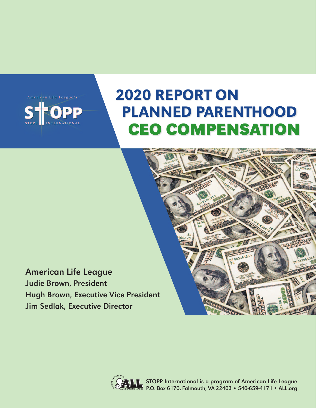

# 2020 REPORT ON PLANNED PARENTHOOD CEO COMPENSATION

American Life League Judie Brown, President Hugh Brown, Executive Vice President Jim Sedlak, Executive Director



STOPP International is a program of American Life League P.O. Box 6170, Falmouth, VA 22403 • 540-659-4171 • ALL.org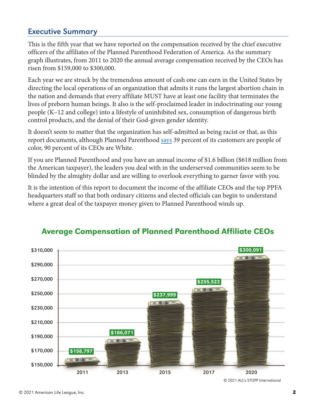#### Executive Summary

This is the fifth year that we have reported on the compensation received by the chief executive officers of the affiliates of the Planned Parenthood Federation of America. As the summary graph illustrates, from 2011 to 2020 the annual average compensation received by the CEOs has risen from \$159,000 to \$300,000.

Each year we are struck by the tremendous amount of cash one can earn in the United States by directing the local operations of an organization that admits it runs the largest abortion chain in the nation and demands that every affiliate MUST have at least one facility that terminates the lives of preborn human beings. It also is the self-proclaimed leader in indoctrinating our young people (K–12 and college) into a lifestyle of uninhibited sex, consumption of dangerous birth control products, and the denial of their God-given gender identity.

It doesn't seem to matter that the organization has self-admitted as being racist or that, as this report documents, although Planned Parenthood [says](https://www.plannedparenthood.org/uploads/filer_public/2d/e1/2de1e14c-9bce-46b8-94f5-d57de80f1a3d/210210-fact-sheet-who-we-are-p01.pdf) 39 percent of its customers are people of color, 90 percent of its CEOs are White.

If you are Planned Parenthood and you have an annual income of \$1.6 billion (\$618 million from the American taxpayer), the leaders you deal with in the underserved communities seem to be blinded by the almighty dollar and are willing to overlook everything to garner favor with you.

It is the intention of this report to document the income of the affiliate CEOs and the top PPFA headquarters staff so that both ordinary citizens and elected officials can begin to understand where a great deal of the taxpayer money given to Planned Parenthood winds up.



#### Average Compensation of Planned Parenthood Affiliate CEOs

<sup>© 2021</sup> ALL's STOPP International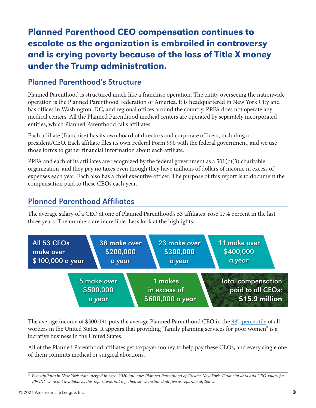## Planned Parenthood CEO compensation continues to escalate as the organization is embroiled in controversy and is crying poverty because of the loss of Title X money under the Trump administration.

#### Planned Parenthood's Structure

Planned Parenthood is structured much like a franchise operation. The entity overseeing the nationwide operation is the Planned Parenthood Federation of America. It is headquartered in New York City and has offices in Washington, DC, and regional offices around the country. PPFA does not operate any medical centers. All the Planned Parenthood medical centers are operated by separately incorporated entities, which Planned Parenthood calls affiliates.

Each affiliate (franchise) has its own board of directors and corporate officers, including a president/CEO. Each affiliate files its own Federal Form 990 with the federal government, and we use those forms to gather financial information about each affiliate.

PPFA and each of its affiliates are recognized by the federal government as a  $501(c)(3)$  charitable organization, and they pay no taxes even though they have millions of dollars of income in excess of expenses each year. Each also has a chief executive officer. The purpose of this report is to document the compensation paid to these CEOs each year.

#### Planned Parenthood Affiliates

The average salary of a CEO at one of Planned Parenthood's 53 affiliates $^{\star}$  rose 17.4 percent in the last three years. The numbers are incredible. Let's look at the highlights:



The average income of \$300,091 puts the average Planned Parenthood CEO in the 98<sup>th</sup> percentile of all workers in the United States. It appears that providing "family planning services for poor women" is a lucrative business in the United States.

All of the Planned Parenthood affiliates get taxpayer money to help pay these CEOs, and every single one of them commits medical or surgical abortions.

*<sup>\*</sup> Five affiliates in New York state merged in early 2020 into one: Planned Parenthood of Greater New York. Financial data and CEO salary for PPGNY were not available as this report was put together, so we included all five as separate affiliates.*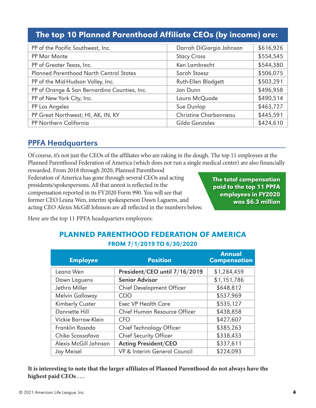## The top 10 Planned Parenthood Affiliate CEOs (by income) are:

| PP of the Pacific Southwest, Inc.              | Darrah DiGiorgio Johnson | \$616,926 |
|------------------------------------------------|--------------------------|-----------|
| PP Mar Monte                                   | <b>Stacy Cross</b>       | \$554,545 |
| PP of Greater Texas, Inc.                      | Ken Lambrecht            | \$544,380 |
| <b>Planned Parenthood North Central States</b> | Sarah Stoesz             | \$506,075 |
| PP of the Mid-Hudson Valley, Inc.              | Ruth-Ellen Blodgett      | \$503,291 |
| PP of Orange & San Bernardino Counties, Inc.   | Jon Dunn                 | \$496,958 |
| PP of New York City, Inc.                      | Laura McQuade            | \$490,514 |
| PP Los Angeles                                 | Sue Dunlap               | \$463,727 |
| PP Great Northwest; HI, AK, IN, KY             | Christine Charbonneau    | \$445,591 |
| PP Northern California                         | Gilda Gonzales           | \$424,610 |

#### PPFA Headquarters

Of course, it's not just the CEOs of the affiliates who are raking in the dough. The top 11 employees at the Planned Parenthood Federation of America (which does not run a single medical center) are also financially

rewarded. From 2018 through 2020, Planned Parenthood Federation of America has gone through several CEOs and acting presidents/spokespersons. All that unrest is reflected in the compensation reported in its FY2020 Form 990. You will see that former CEO Leana Wen, interim spokesperson Dawn Laguens, and acting CEO Alexis McGill Johnson are all reflected in the numbers below.

The total compensation paid to the top 11 PPFA employees in FY2020 was \$6.3 million

Here are the top 11 PPFA headquarters employees:

#### PLANNED PARENTHOOD FEDERATION OF AMERICA FROM 7/1/2019 TO 6/30/2020

| <b>Employee</b>       | <b>Position</b>                  | <b>Annual</b><br><b>Compensation</b> |
|-----------------------|----------------------------------|--------------------------------------|
| Leana Wen             | President/CEO until 7/16/2019    | \$1,284,459                          |
| Dawn Laguens          | <b>Senior Advisor</b>            | \$1,151,786                          |
| Jethro Miller         | <b>Chief Development Officer</b> | \$648,812                            |
| Melvin Galloway       | <b>COO</b>                       | \$537,969                            |
| Kimberly Custer       | <b>Exec VP Health Care</b>       | \$535,127                            |
| Dannette Hill         | Chief Human Resource Officer     | \$438,858                            |
| Vickie Barrow-Klein   | <b>CFO</b>                       | \$427,607                            |
| Franklin Rosado       | Chief Technology Officer         | \$385,263                            |
| Chiko Scossafava      | <b>Chief Security Officer</b>    | \$338,433                            |
| Alexis McGill Johnson | <b>Acting President/CEO</b>      | \$337,611                            |
| Jay Meisel            | VP & Interim General Council     | \$224,093                            |

**It is interesting to note that the larger affiliates of Planned Parenthood do not always have the highest paid CEOs . . .**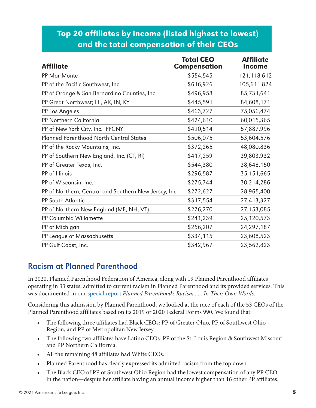## Top 20 affiliates by income (listed highest to lowest) and the total compensation of their CEOs

| <b>Affiliate</b>                                      | <b>Total CEO</b><br>Compensation | <b>Affiliate</b><br>Income |
|-------------------------------------------------------|----------------------------------|----------------------------|
| PP Mar Monte                                          | \$554,545                        | 121,118,612                |
| PP of the Pacific Southwest, Inc.                     | \$616,926                        | 105,611,824                |
| PP of Orange & San Bernardino Counties, Inc.          | \$496,958                        | 85,731,641                 |
| PP Great Northwest; HI, AK, IN, KY                    | \$445,591                        | 84,608,171                 |
| PP Los Angeles                                        | \$463,727                        | 75,056,474                 |
| PP Northern California                                | \$424,610                        | 60,015,365                 |
| PP of New York City, Inc. PPGNY                       | \$490,514                        | 57,887,996                 |
| <b>Planned Parenthood North Central States</b>        | \$506,075                        | 53,604,576                 |
| PP of the Rocky Mountains, Inc.                       | \$372,265                        | 48,080,836                 |
| PP of Southern New England, Inc. (CT, RI)             | \$417,259                        | 39,803,932                 |
| PP of Greater Texas, Inc.                             | \$544,380                        | 38,648,150                 |
| PP of Illinois                                        | \$296,587                        | 35,151,665                 |
| PP of Wisconsin, Inc.                                 | \$275,744                        | 30,214,286                 |
| PP of Northern, Central and Southern New Jersey, Inc. | \$272,627                        | 28,965,400                 |
| PP South Atlantic                                     | \$317,554                        | 27,413,327                 |
| PP of Northern New England (ME, NH, VT)               | \$276,270                        | 27, 153, 085               |
| PP Columbia Willamette                                | \$241,239                        | 25,120,573                 |
| PP of Michigan                                        | \$256,207                        | 24,297,187                 |
| PP League of Massachusetts                            | \$334,115                        | 23,608,523                 |
| PP Gulf Coast, Inc.                                   | \$342,967                        | 23,562,823                 |

#### Racism at Planned Parenthood

In 2020, Planned Parenthood Federation of America, along with 19 Planned Parenthood affiliates operating in 33 states, admitted to current racism in Planned Parenthood and its provided services. This was documented in our [special report](https://www.stopp.org/pdfs/2020/STOPP_PP_Racism_Report.pdf) *Planned Parenthood's Racism . . . In Their Own Words*.

Considering this admission by Planned Parenthood, we looked at the race of each of the 53 CEOs of the Planned Parenthood affiliates based on its 2019 or 2020 Federal Forms 990. We found that:

- The following three affiliates had Black CEOs: PP of Greater Ohio, PP of Southwest Ohio Region, and PP of Metropolitan New Jersey.
- The following two affiliates have Latino CEOs: PP of the St. Louis Region & Southwest Missouri and PP Northern California.
- All the remaining 48 affiliates had White CEOs.
- Planned Parenthood has clearly expressed its admitted racism from the top down.
- The Black CEO of PP of Southwest Ohio Region had the lowest compensation of any PP CEO in the nation—despite her affiliate having an annual income higher than 16 other PP affiliates.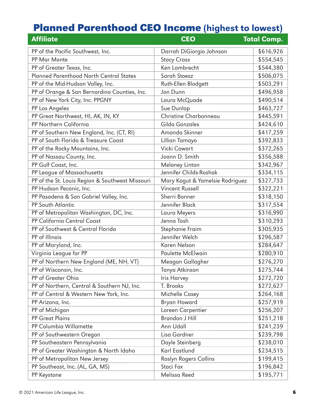## Planned Parenthood CEO Income (highest to lowest)

| <b>Affiliate</b>                                | <b>CEO</b>                      | <b>Total Comp.</b> |
|-------------------------------------------------|---------------------------------|--------------------|
| PP of the Pacific Southwest, Inc.               | Darrah DiGiorgio Johnson        | \$616,926          |
| PP Mar Monte                                    | <b>Stacy Cross</b>              | \$554,545          |
| PP of Greater Texas, Inc.                       | Ken Lambrecht                   | \$544,380          |
| <b>Planned Parenthood North Central States</b>  | Sarah Stoesz                    | \$506,075          |
| PP of the Mid-Hudson Valley, Inc.               | Ruth-Ellen Blodgett             | \$503,291          |
| PP of Orange & San Bernardino Counties, Inc.    | Jon Dunn                        | \$496,958          |
| PP of New York City, Inc. PPGNY                 | Laura McQuade                   | \$490,514          |
| PP Los Angeles                                  | Sue Dunlap                      | \$463,727          |
| PP Great Northwest, HI, AK, IN, KY              | Christine Charbonneau           | \$445,591          |
| PP Northern California                          | Gilda Gonzales                  | \$424,610          |
| PP of Southern New England, Inc. (CT, RI)       | Amanda Skinner                  | \$417,259          |
| PP of South Florida & Treasure Coast            | Lillian Tamayo                  | \$392,833          |
| PP of the Rocky Mountains, Inc.                 | Vicki Cowart                    | \$372,265          |
| PP of Nassau County, Inc.                       | Joann D. Smith                  | \$356,588          |
| PP Gulf Coast, Inc.                             | <b>Melaney Linton</b>           | \$342,967          |
| PP League of Massachusetts                      | Jennifer Childs-Roshak          | \$334,115          |
| PP of the St. Louis Region & Southwest Missouri | Mary Kogut & Yamelsie Rodriguez | \$327,733          |
| PP Hudson Peconic, Inc.                         | <b>Vincent Russell</b>          | \$322,221          |
| PP Pasadena & San Gabriel Valley, Inc.          | Sherri Bonner                   | \$318,150          |
| PP South Atlantic                               | Jennifer Black                  | \$317,554          |
| PP of Metropolitan Washington, DC, Inc.         | Laura Meyers                    | \$316,990          |
| PP California Central Coast                     | Jenna Tosh                      | \$310,293          |
| PP of Southwest & Central Florida               | Stephanie Fraim                 | \$305,935          |
| PP of Illinois                                  | Jennifer Welch                  | \$296,587          |
| PP of Maryland, Inc.                            | Karen Nelson                    | \$284,647          |
| Virginia League for PP                          | <b>Paulette McElwain</b>        | \$280,910          |
| PP of Northern New England (ME, NH, VT)         | Meagan Gallagher                | \$276,270          |
| PP of Wisconsin, Inc.                           | Tanya Atkinson                  | \$275,744          |
| PP of Greater Ohio                              | Iris Harvey                     | \$272,720          |
| PP of Northern, Central & Southern NJ, Inc.     | T. Brooks                       | \$272,627          |
| PP of Central & Western New York, Inc.          | Michelle Casey                  | \$264,168          |
| PP Arizona, Inc.                                | <b>Bryan Howard</b>             | \$257,919          |
| PP of Michigan                                  | Loreen Carpentier               | \$256,207          |
| <b>PP Great Plains</b>                          | <b>Brandon J Hill</b>           | \$251,218          |
| PP Columbia Willamette                          | Ann Udall                       | \$241,239          |
| PP of Southwestern Oregon                       | Lisa Gardner                    | \$239,798          |
| PP Southeastern Pennsylvania                    | Dayle Steinberg                 | \$238,010          |
| PP of Greater Washington & North Idaho          | Karl Eastlund                   | \$234,515          |
| PP of Metropolitan New Jersey                   | Roslyn Rogers Collins           | \$199,415          |
| PP Southeast, Inc. (AL, GA, MS)                 | Staci Fox                       | \$196,842          |
| PP Keystone                                     | Melissa Reed                    | \$195,771          |